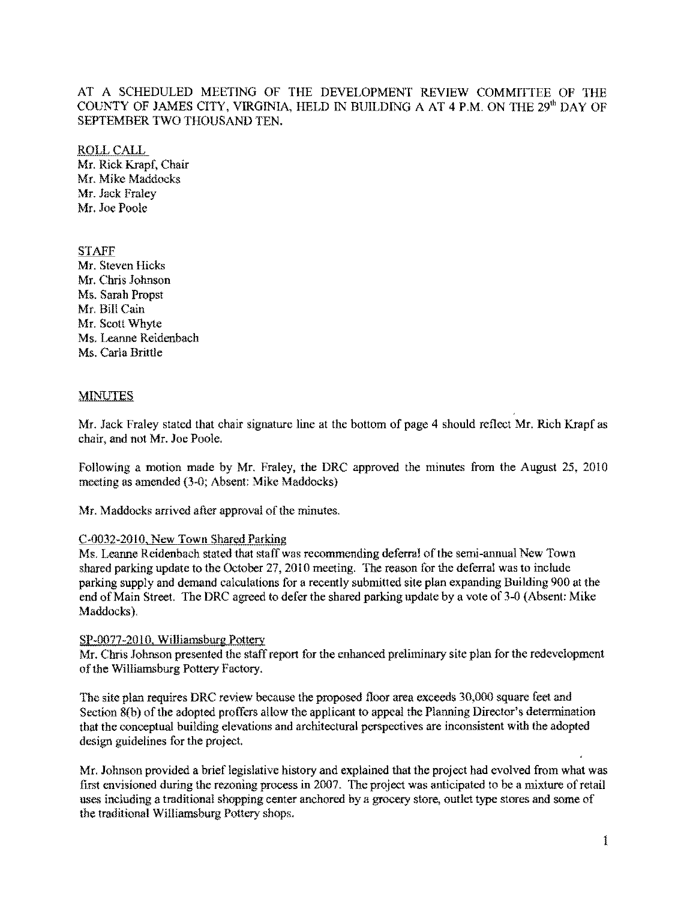# AT A SCHEDULED MEETING OF THE DEVELOPMENT REVIEW COMMITTEE OF THE COUNTY OF JAMES CITY, VIRGINIA, HELD IN BUILDING A AT 4 P.M. ON THE 29<sup>th</sup> DAY OF SEPTEMBER TWO THOUSAND TEN.

ROLLCALL Mr. Rick Krapf. Chair Mr. Mike Maddocks Mr. Jack Fraley Mr. Joe Poole

# **STAFF**

Mr. Steven Hicks Mr. Chris Johnson Ms. Sarah Propst Mr. Bill Cain Mr. Scott Whyte Ms. Leanne Reidenbach Ms. Carla Brittle

### **MINUTES**

Mr. Jack Fraley stated that chair signature line at the bottom of page 4 should reflect Mr. Rich Krapf as chair. and not Mr. Joe Poole.

Following a motion made by Mr. Fraley, the DRC approved the minutes from the August 25, 2010 meeting as amended (3-0; Absent: Mike Maddocks)

Mr. Maddocks arrived after approval of the minutes.

#### C-0032-201O. New Town Shared Parking

Ms. Leanne Reidenbach stated that staff was recommending deferral of the semi-annual New Town shared parking update to the October 27, 2010 meeting. The reason for the deferral was to include parking supply and demand calculations for a recently submitted site plan expanding Building 900 at the end of Main Street. The DRC agreed to defer the shared parking update by a vote of 3-0 (Absent: Mike Maddocks).

#### SP-0077-2010, Williamsburg Pottery

Mr. Chris Johnson presented the staff report for the enhanced preliminary site plan for the redevelopment of the Williamsburg Pottery Factory.

The site plan requires ORC review because the proposed floor area exceeds 30,000 square feet and Section 8(b) of the adopted proffers allow the applicant to appeal the Planning Director's determination that the conceptual building elevations and architectural perspectives are inconsistent with the adopted design guidelines for the project.

Mr. Johnson provided a brief legislative history and explained that the project had evolved from what was first envisioned during the rezoning process in 2007. The project was anticipated to be a mixture of retail uses including a traditional shopping center anchored by a grocery store, outlet type stores and some of the traditional Williamsburg Pottery shops.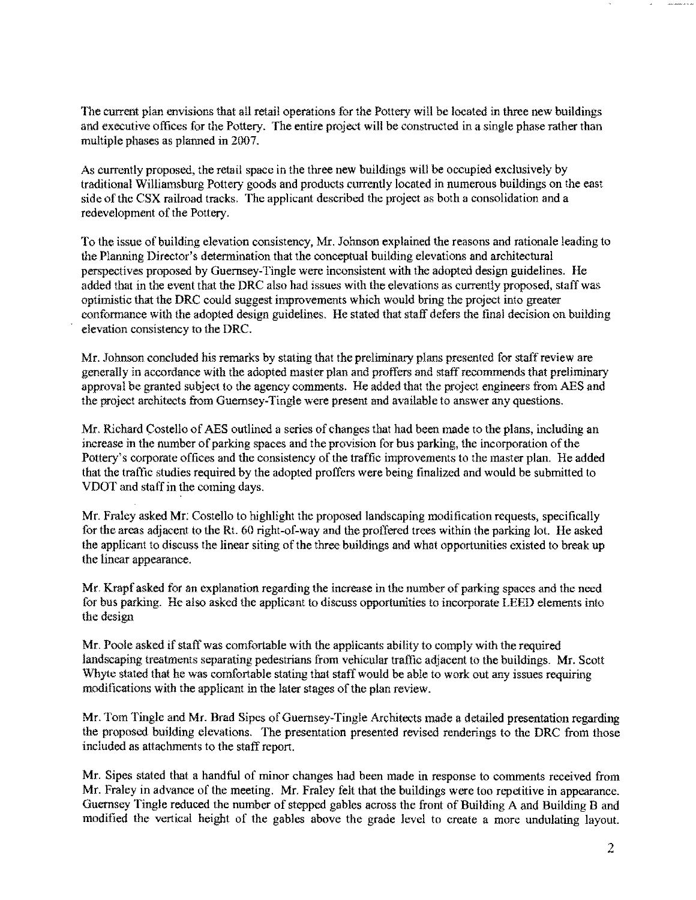The current plan envisions that all retail operations for the Pottery will be loeated in three new buildings and executive offices for the Pottery. The entire project will be constructed in a single phase rather than multiple phases as planned in 2007.

As currently proposed, the retail space in the three new buildings will be occupied exclusively by traditional Williamsburg Pottery goods and products currently located in numerous buildings on the east side of the CSX railroad tracks. The applicant described the project as both a consolidation and a redevelopment of the Pottery.

To the issue of building elevation consistency, Mr. Johnson explained the reasons and rationale leading to the Plarming Director's determination that the conceptual building elevations and architectural perspectives proposed by Guernsey-Tingle were inconsistent with the adopted design guidelines. He added that in the event that the DRC also had issues with the elevations as currently proposed, staff was optimistic that the DRC could suggest improvements which would bring the project into greater conformance with the adopted design guidelines. He stated that staff defers the final decision on building elevation consistency to the DRC.

Mr. Johnson concluded his remarks by stating that the preliminary plans presented for staff review are generally in accordance with the adopted master plan and proffers and staff recommends that preliminary approval be granted subject to the agency comments. He added that the project engineers from AES and the project architects from Guernsey-Tingle were present and available to answer any questions.

Mr. Richard Costello of AES outlined a series of changes that had been made to the plans, including an increase in the number of parking spaces and the provision for bus parking, the incorporation of the Pottery's corporate offices and the consistency of the traffic improvements to the master plan. He added that the traffic studies required by the adopted proffers were being finalized and would be submitted to VDOT and staff in the coming days.

Mr. Fraley asked Mr: Costello to highlight the proposed landscaping modification requests, specifically for the areas adjacent to the Rt. 60 right-of-way and the proffered trees within the parking lot. He asked the applicant to discuss the linear siting of the threc buildings and what opportunities existed to break up the lincar appearance.

Mr. Krapf asked for an explanation regarding the increase in the number of parking spaces and the need for bus parking. He also asked the applicant to discuss opportonities to incorporate LEED elements into the design

Mr, Poole asked if staff was comfortable with the applicants ability to comply with the required landscaping treatments separating pedestrians from vehicular traffic adjacent to the buildings. Mr. Scott Whyte stated that he was comfortable stating that staff would be able to work out any issues requiring modifications with the applicant in the later stages of the plan review.

Mr. Tom Tingle and Mr. Brad Sipes of Guernsey-Tingle Architects made a detailed presentation regarding the proposed building elevations. The presentation presented revised renderings to the DRC from those included as attaclunents to the staff report.

Mr. Sipes stated that a handful of minor changes had been made in response to comments received from Mr. Fraley in advance of the meeting. Mr. Fraley felt that the buildings were too repetitive in appearance. Guernsey Tingle reduced the number of stepped gables across the front of Building A and Building B and modified the vertical height of the gables above the grade level to create a more undulating layout.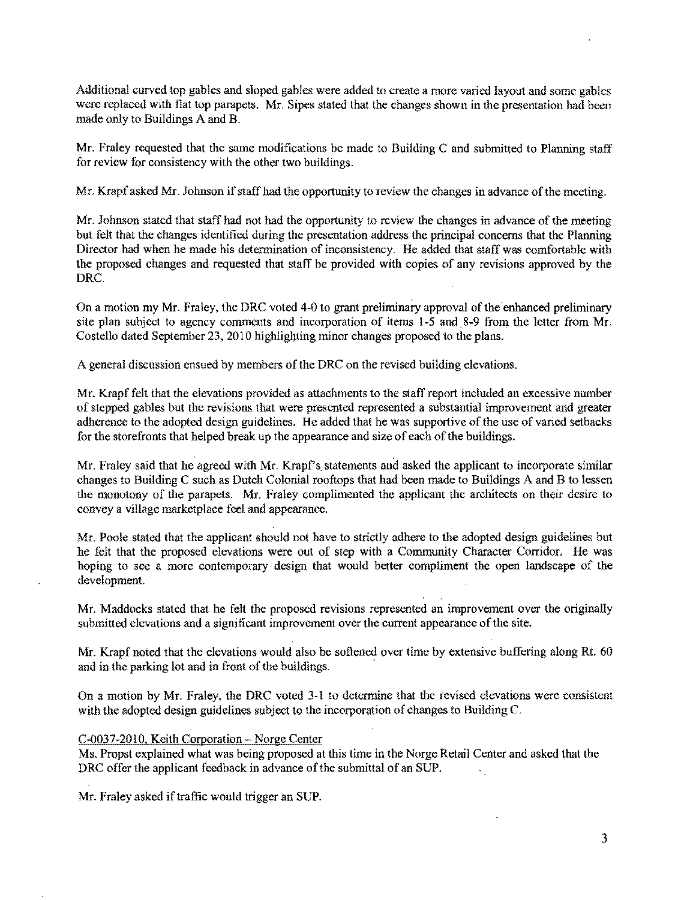Additional curved top gables and sloped gables were added to create a more varied layout and some gables were replaced with flat top parapets. Mr. Sipes stated that the changes shown in the presentation had been made only to Buildings A and R

Mr. Fraley requested that the same modifications be made to Building C and submitted to Planning staff for review for consistency with the other two buildings.

Mr. Krapf asked Mr. Johnson if staff had the opportunity to review the changes in advance of the meeting.

Mr. Jobnson stated that staff had not had the opportunity to review the changes in advance of the meeting but felt that the changes identified during the presentation address the principal concerns that the Planning Director had when he made his determination of inconsistency. He added that staff was comfortable with the proposed changes and requested that staff be provided with copies of any revisions approved by the ORC.

On a motion my Mr. Fraley, the ORC voted 4-0 to grant preliminary approval of the enhanced preliminary site plan subject to agency comments and incorporation of items 1-5 and 8-9 from the letter from Mr. Costello dated September 23, 2010 highlighting minor changes proposed to the plans.

A general discussion ensued by members of the ORC on the revised building elevations.

Mr. Krapf felt that the elevations provided as attachments to the staff report included an excessive number of stepped gables but the revisions that were presented represented a substantial improvement and greater adherence to the adopted design guidelines. He added that he was supportive of the usc of varied setbacks for the storefronts that helped break up the appearance and size of each of the buildings.

Mr. Fraley said that he agreed with Mr. Krapf's statements and asked the applicant to incorporate similar changes to Building C such as Outch Colonial rooftops that had been made to Buildings A and B to lessen the monotony of the parapets. Mr. Fraley complimented the applicant the architects on their desire to convey a village marketplace feel and appearance.

Mr. Poole stated that the applicant should not have to strictly adhere to the adopted design guidelines but he felt that the proposed elevations were out of step with a Community Character Corridor. He was hoping to see a more contemporary design that would better compliment the open landscape of the development.

Mr. Maddocks stated that he felt the proposed revisions represented an improvement over the originally submitted elevations and a significant improvement over the current appearance of the site.

Mr. Krapf noted that the elevations would also be softened over time by extensive buffering along Rt. 60 and in the parking lot and in front of the buildings.

On a motion by Mr. Fraley, the ORC voted 3-1 to determine that the revised elevations were consistent with the adopted design guidelines subject to the incorporation of changes to Building C.

#### C-0037-201O, Keith Corporation \_. Norge Center

Ms. Propst explained what was being proposed at this time in the Norge Retail Center and asked that the DRC offer the applicant feedback in advance of the submittal of an SUP.  $\mathcal{L}^{\pm}$ 

Mr. Fraley asked if traffic would trigger an SUP.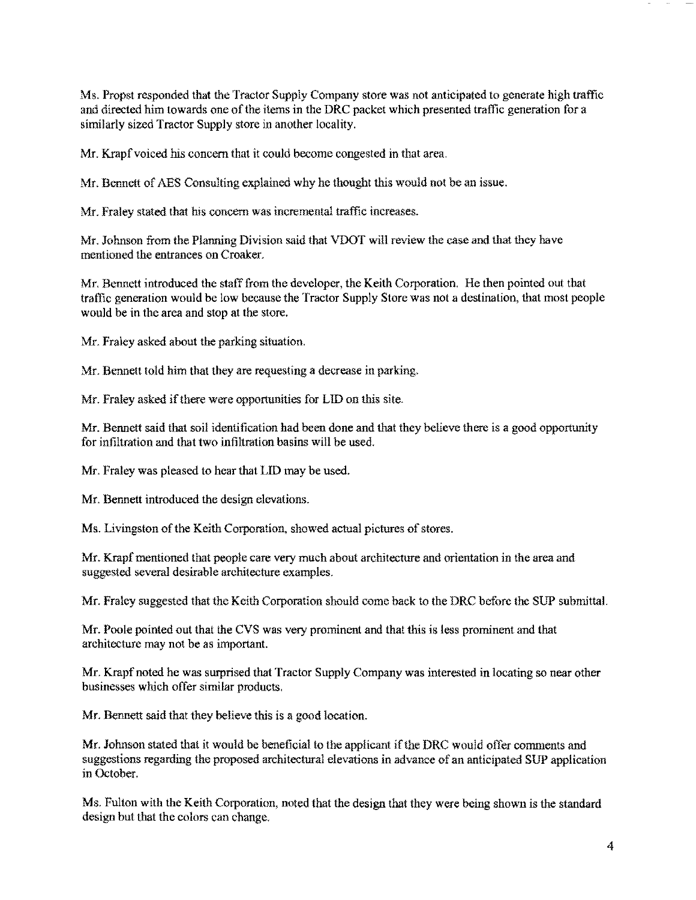Ms. Propst responded that the Tractor Supply Company store was not anticipated to generate high traffic and directed him towards one of the items in the DRC packet which presented traffic generation for a similarly sized Tractor Supply store in another locality.

Mr. Krapf voiced his concern that it could become congested in that area.

 $Mr.$  Bennett of AES Consulting explained why he thought this would not be an issue.

Mr. Fraley stated that his concern was incremental traffic increases.

Mr. Johnson from the Planning Division said that VOOT will review the case and that they have mentioned the entrances on Croaker.

Mr. Bennett introduced the staff from the developer, the Keith Corporation. He then pointed out that traffic generation would be low because the Tractor Supply Store was not a destination, that most people would be in the area and stop at the store.

Mr. Fraley asked about the parking situation.

Mr. Bennett told him that they are requesting a decrease in parking.

Mr. Fraley asked if there were opportunities for LID on this site.

Mr. Bennett said that soil identification had been done and that they believe there is a good opportunity for infiltration and that two infiltration basins will be used.

Mr. Fraley was pleased to hear that LID may be used.

Mr. Bennett introduced the design elevations.

Ms. Livingston of the Keith Corporation, showed actual pictures of stores.

Mr. Krapf mentioned that people care very much about architecture and orientation in the area and suggested several desirable architecture examples.

Mr. Fraley suggested that the Keith Corporation should come back to the DRC before the SUP submittal.

Mr. Poole pointed out that the CVS was very prominent and that this is less prominent and that architecture may not be as important.

Mr. Krapf noted he was surprised that Tractor Supply Company was interested in locating so near other businesses which offer similar products.

Mr. Bennett said that they believe this is a good location.

Mr. Johnson stated that it would be beneficial to the applicant ifthe DRC would offer comments and suggestions regarding the proposed architectural elevations in advance of an anticipated SUP application in October.

Ms. Fulton with the Keith Corporation, noted that the design that they were being shown is the standard design but that the colors can change.